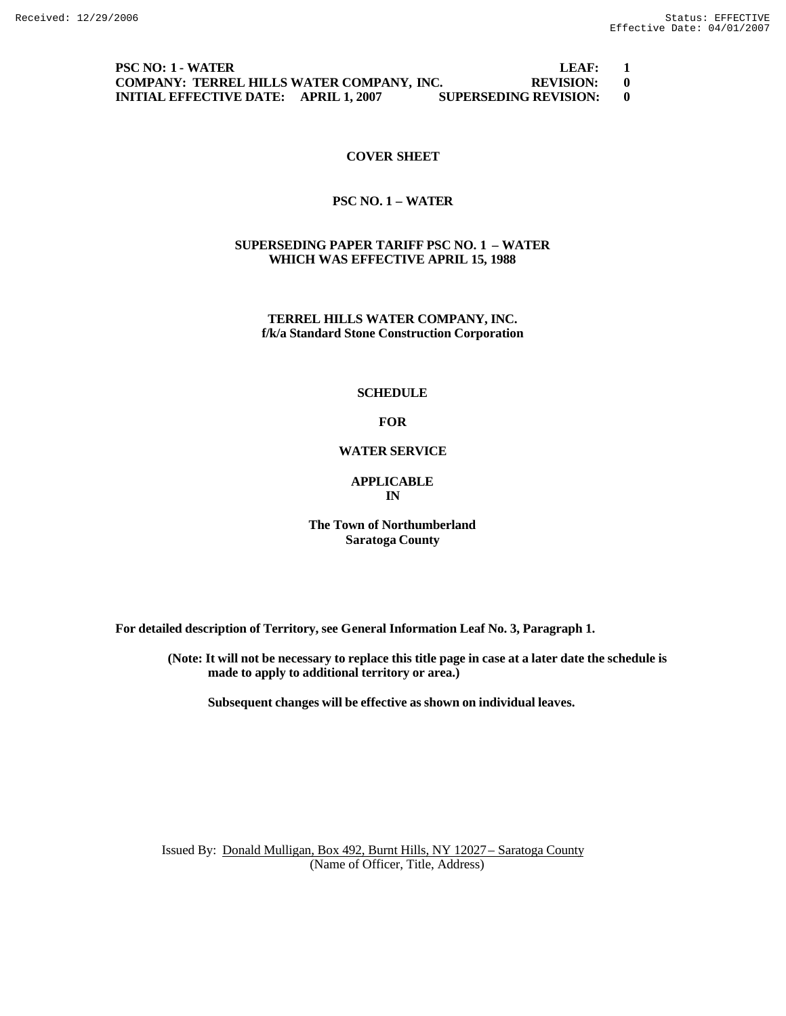### **PSC NO: 1 - WATER LEAF: 1 COMPANY: TERREL HILLS WATER COMPANY, INC. REVISION: 0 INITIAL EFFECTIVE DATE: APRIL 1, 2007 SUPERSEDING REVISION: 0**

# **COVER SHEET**

# **PSC NO. 1 – WATER**

# **SUPERSEDING PAPER TARIFF PSC NO. 1 – WATER WHICH WAS EFFECTIVE APRIL 15, 1988**

**TERREL HILLS WATER COMPANY, INC. f/k/a Standard Stone Construction Corporation**

#### **SCHEDULE**

# **FOR**

# **WATER SERVICE**

### **APPLICABLE IN**

# **The Town of Northumberland Saratoga County**

**For detailed description of Territory, see General Information Leaf No. 3, Paragraph 1.**

**(Note: It will not be necessary to replace this title page in case at a later date the schedule is made to apply to additional territory or area.)**

**Subsequent changes will be effective as shown on individual leaves.**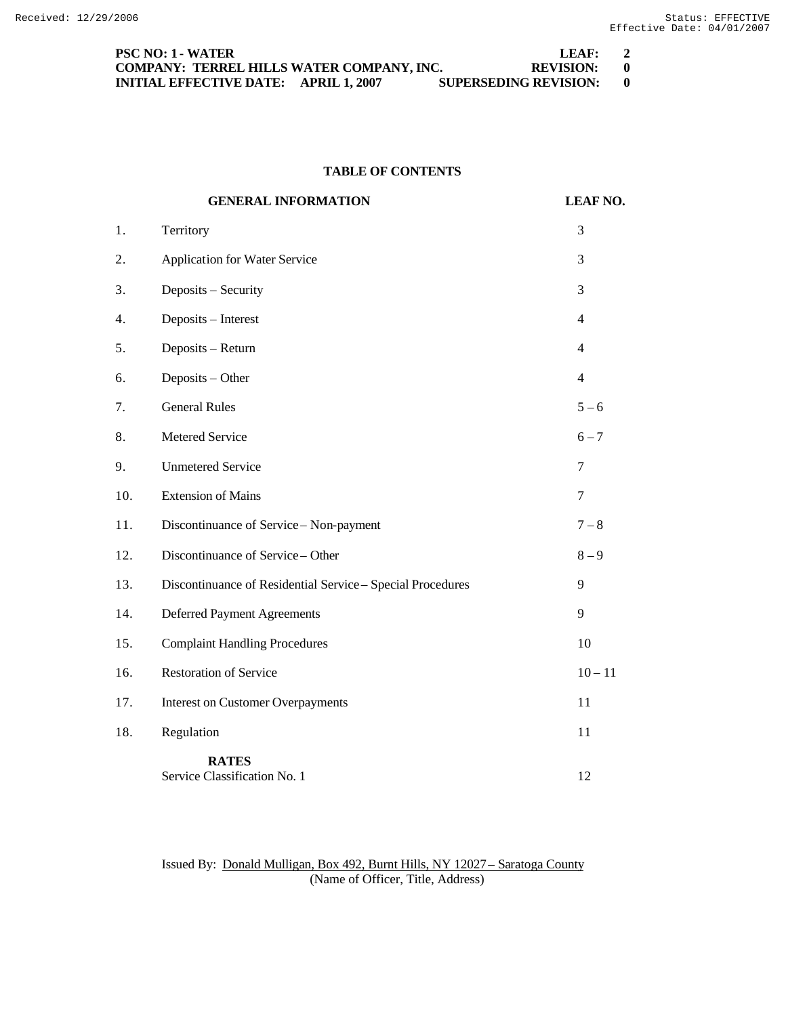| <b>PSC NO: 1 - WATER</b>                     |  | LEAF:                        | $\overline{2}$ |
|----------------------------------------------|--|------------------------------|----------------|
| COMPANY: TERREL HILLS WATER COMPANY. INC.    |  | REVISION: 0                  |                |
| <b>INITIAL EFFECTIVE DATE: APRIL 1, 2007</b> |  | <b>SUPERSEDING REVISION:</b> |                |

# **TABLE OF CONTENTS**

|     | <b>GENERAL INFORMATION</b>                                 | <b>LEAF NO.</b> |
|-----|------------------------------------------------------------|-----------------|
| 1.  | Territory                                                  | 3               |
| 2.  | Application for Water Service                              | 3               |
| 3.  | Deposits - Security                                        | 3               |
| 4.  | Deposits - Interest                                        | $\overline{4}$  |
| 5.  | Deposits - Return                                          | 4               |
| 6.  | Deposits - Other                                           | $\overline{4}$  |
| 7.  | <b>General Rules</b>                                       | $5 - 6$         |
| 8.  | Metered Service                                            | $6 - 7$         |
| 9.  | <b>Unmetered Service</b>                                   | 7               |
| 10. | <b>Extension of Mains</b>                                  | $\tau$          |
| 11. | Discontinuance of Service - Non-payment                    | $7 - 8$         |
| 12. | Discontinuance of Service - Other                          | $8 - 9$         |
| 13. | Discontinuance of Residential Service - Special Procedures | 9               |
| 14. | <b>Deferred Payment Agreements</b>                         | 9               |
| 15. | <b>Complaint Handling Procedures</b>                       | 10              |
| 16. | <b>Restoration of Service</b>                              | $10 - 11$       |
| 17. | <b>Interest on Customer Overpayments</b>                   | 11              |
| 18. | Regulation                                                 | 11              |
|     | <b>RATES</b><br>Service Classification No. 1               | 12              |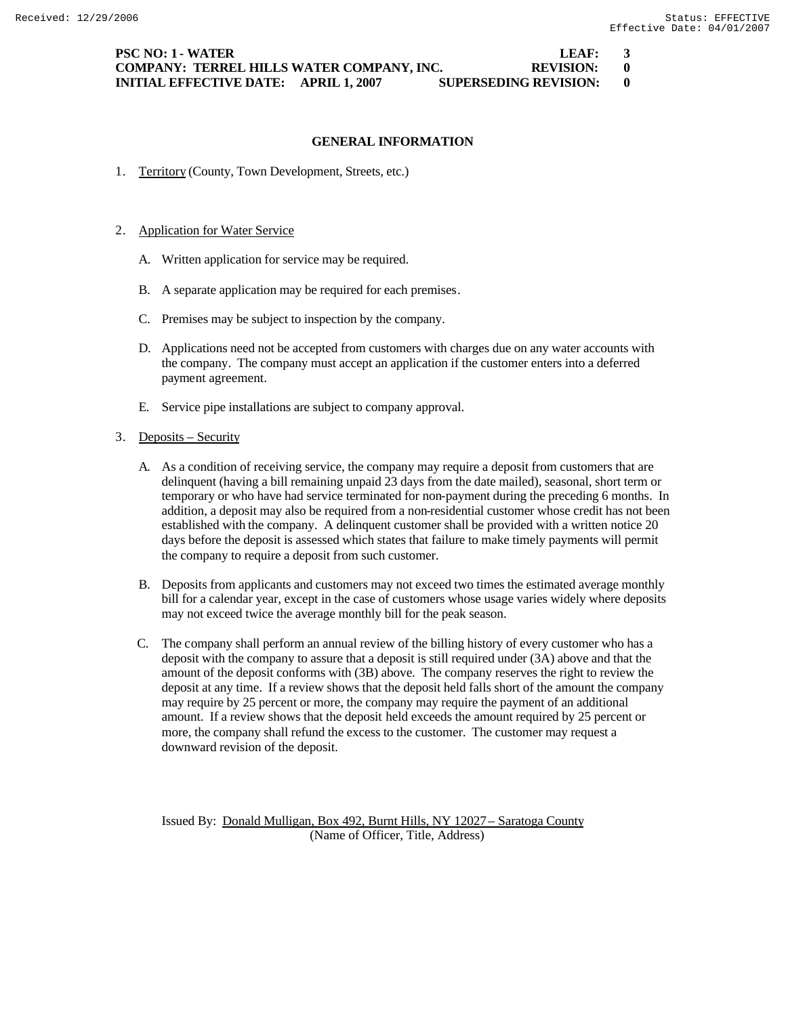**PSC NO: 1 - WATER LEAF: 3 COMPANY: TERREL HILLS WATER COMPANY, INC. REVISION: 0 INITIAL EFFECTIVE DATE: APRIL 1, 2007 SUPERSEDING REVISION: 0**

#### **GENERAL INFORMATION**

1. Territory (County, Town Development, Streets, etc.)

#### 2. Application for Water Service

- A. Written application for service may be required.
- B. A separate application may be required for each premises.
- C. Premises may be subject to inspection by the company.
- D. Applications need not be accepted from customers with charges due on any water accounts with the company. The company must accept an application if the customer enters into a deferred payment agreement.
- E. Service pipe installations are subject to company approval.

#### 3. Deposits – Security

- A. As a condition of receiving service, the company may require a deposit from customers that are delinquent (having a bill remaining unpaid 23 days from the date mailed), seasonal, short term or temporary or who have had service terminated for non-payment during the preceding 6 months. In addition, a deposit may also be required from a non-residential customer whose credit has not been established with the company. A delinquent customer shall be provided with a written notice 20 days before the deposit is assessed which states that failure to make timely payments will permit the company to require a deposit from such customer.
- B. Deposits from applicants and customers may not exceed two times the estimated average monthly bill for a calendar year, except in the case of customers whose usage varies widely where deposits may not exceed twice the average monthly bill for the peak season.
- C. The company shall perform an annual review of the billing history of every customer who has a deposit with the company to assure that a deposit is still required under (3A) above and that the amount of the deposit conforms with (3B) above. The company reserves the right to review the deposit at any time. If a review shows that the deposit held falls short of the amount the company may require by 25 percent or more, the company may require the payment of an additional amount. If a review shows that the deposit held exceeds the amount required by 25 percent or more, the company shall refund the excess to the customer. The customer may request a downward revision of the deposit.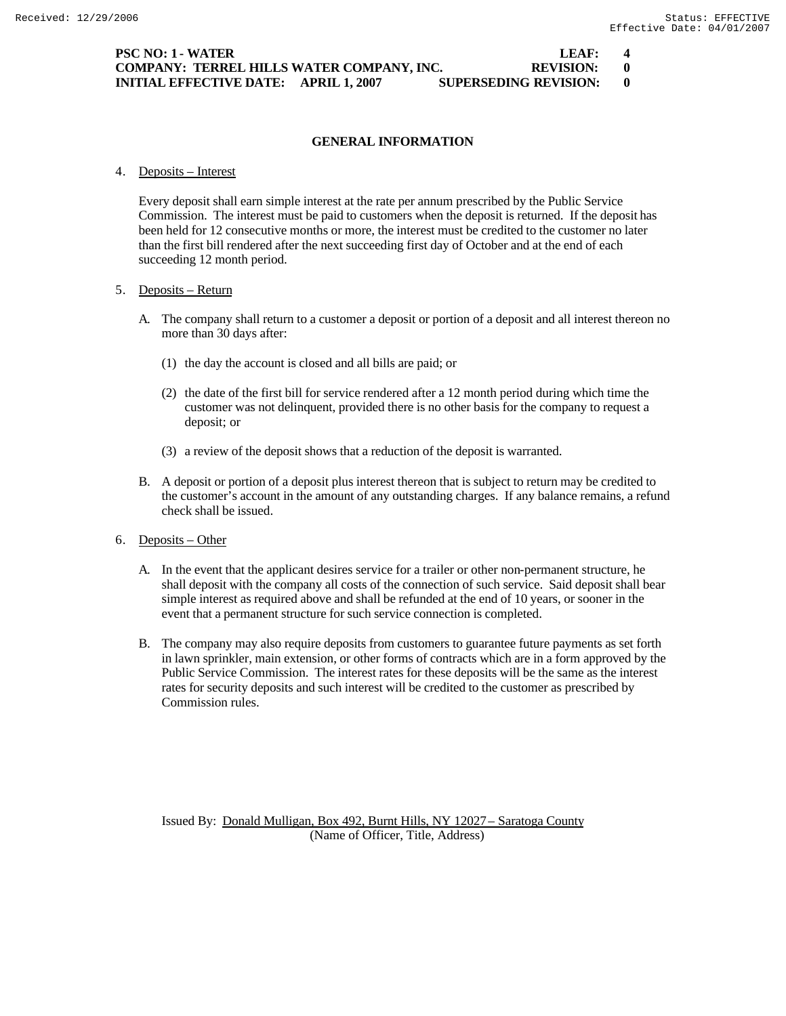### **PSC NO: 1 - WATER LEAF: 4 COMPANY: TERREL HILLS WATER COMPANY, INC. REVISION: 0 INITIAL EFFECTIVE DATE: APRIL 1, 2007 SUPERSEDING REVISION: 0**

# **GENERAL INFORMATION**

#### 4. Deposits – Interest

Every deposit shall earn simple interest at the rate per annum prescribed by the Public Service Commission. The interest must be paid to customers when the deposit is returned. If the deposit has been held for 12 consecutive months or more, the interest must be credited to the customer no later than the first bill rendered after the next succeeding first day of October and at the end of each succeeding 12 month period.

# 5. Deposits – Return

- A. The company shall return to a customer a deposit or portion of a deposit and all interest thereon no more than 30 days after:
	- (1) the day the account is closed and all bills are paid; or
	- (2) the date of the first bill for service rendered after a 12 month period during which time the customer was not delinquent, provided there is no other basis for the company to request a deposit; or
	- (3) a review of the deposit shows that a reduction of the deposit is warranted.
- B. A deposit or portion of a deposit plus interest thereon that is subject to return may be credited to the customer's account in the amount of any outstanding charges. If any balance remains, a refund check shall be issued.
- 6. Deposits Other
	- A. In the event that the applicant desires service for a trailer or other non-permanent structure, he shall deposit with the company all costs of the connection of such service. Said deposit shall bear simple interest as required above and shall be refunded at the end of 10 years, or sooner in the event that a permanent structure for such service connection is completed.
	- B. The company may also require deposits from customers to guarantee future payments as set forth in lawn sprinkler, main extension, or other forms of contracts which are in a form approved by the Public Service Commission. The interest rates for these deposits will be the same as the interest rates for security deposits and such interest will be credited to the customer as prescribed by Commission rules.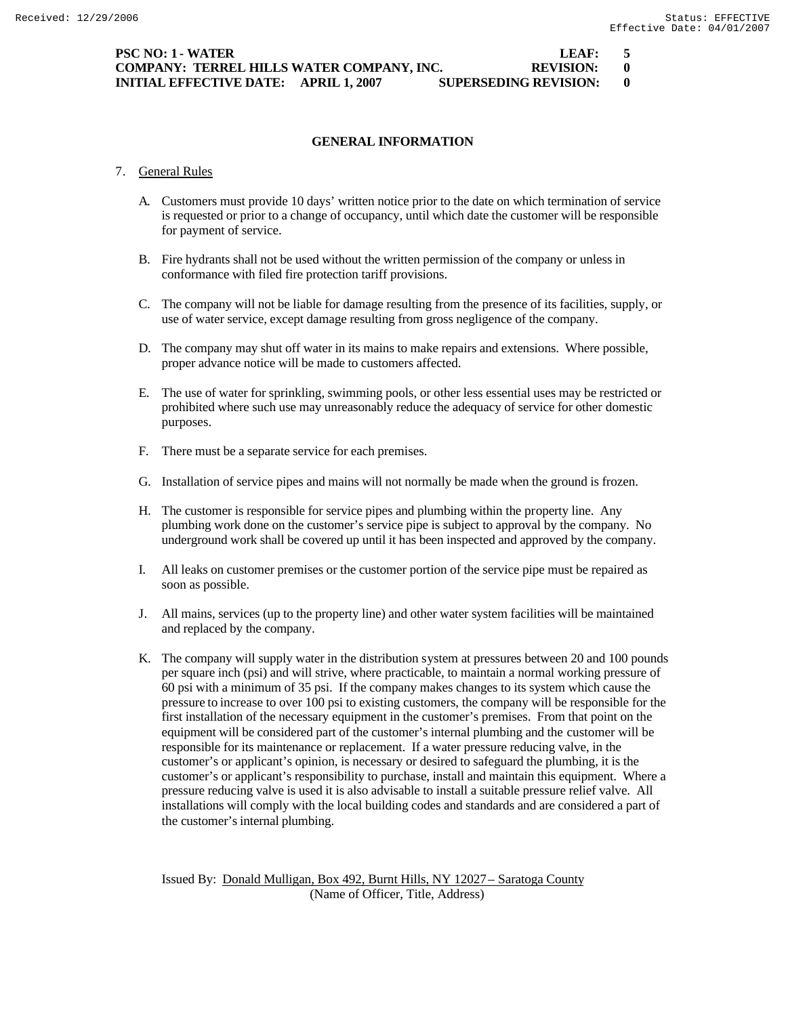# **PSC NO: 1 - WATER LEAF: 5 COMPANY: TERREL HILLS WATER COMPANY, INC. REVISION: 0 INITIAL EFFECTIVE DATE: APRIL 1, 2007 SUPERSEDING REVISION: 0**

# **GENERAL INFORMATION**

# 7. General Rules

- A. Customers must provide 10 days' written notice prior to the date on which termination of service is requested or prior to a change of occupancy, until which date the customer will be responsible for payment of service.
- B. Fire hydrants shall not be used without the written permission of the company or unless in conformance with filed fire protection tariff provisions.
- C. The company will not be liable for damage resulting from the presence of its facilities, supply, or use of water service, except damage resulting from gross negligence of the company.
- D. The company may shut off water in its mains to make repairs and extensions. Where possible, proper advance notice will be made to customers affected.
- E. The use of water for sprinkling, swimming pools, or other less essential uses may be restricted or prohibited where such use may unreasonably reduce the adequacy of service for other domestic purposes.
- F. There must be a separate service for each premises.
- G. Installation of service pipes and mains will not normally be made when the ground is frozen.
- H. The customer is responsible for service pipes and plumbing within the property line. Any plumbing work done on the customer's service pipe is subject to approval by the company. No underground work shall be covered up until it has been inspected and approved by the company.
- I. All leaks on customer premises or the customer portion of the service pipe must be repaired as soon as possible.
- J. All mains, services (up to the property line) and other water system facilities will be maintained and replaced by the company.
- K. The company will supply water in the distribution system at pressures between 20 and 100 pounds per square inch (psi) and will strive, where practicable, to maintain a normal working pressure of 60 psi with a minimum of 35 psi. If the company makes changes to its system which cause the pressure to increase to over 100 psi to existing customers, the company will be responsible for the first installation of the necessary equipment in the customer's premises. From that point on the equipment will be considered part of the customer's internal plumbing and the customer will be responsible for its maintenance or replacement. If a water pressure reducing valve, in the customer's or applicant's opinion, is necessary or desired to safeguard the plumbing, it is the customer's or applicant's responsibility to purchase, install and maintain this equipment. Where a pressure reducing valve is used it is also advisable to install a suitable pressure relief valve. All installations will comply with the local building codes and standards and are considered a part of the customer's internal plumbing.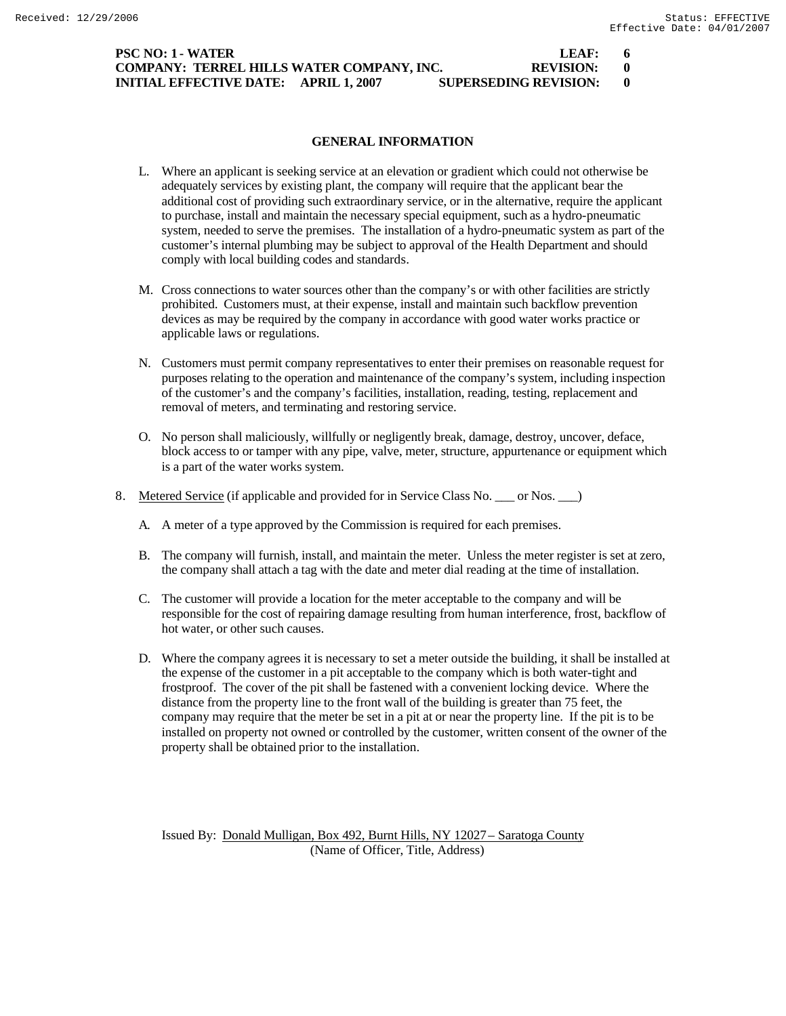# **PSC NO: 1 - WATER LEAF: 6 COMPANY: TERREL HILLS WATER COMPANY, INC. REVISION: 0 INITIAL EFFECTIVE DATE: APRIL 1, 2007 SUPERSEDING REVISION: 0**

# **GENERAL INFORMATION**

- L. Where an applicant is seeking service at an elevation or gradient which could not otherwise be adequately services by existing plant, the company will require that the applicant bear the additional cost of providing such extraordinary service, or in the alternative, require the applicant to purchase, install and maintain the necessary special equipment, such as a hydro-pneumatic system, needed to serve the premises. The installation of a hydro-pneumatic system as part of the customer's internal plumbing may be subject to approval of the Health Department and should comply with local building codes and standards.
- M. Cross connections to water sources other than the company's or with other facilities are strictly prohibited. Customers must, at their expense, install and maintain such backflow prevention devices as may be required by the company in accordance with good water works practice or applicable laws or regulations.
- N. Customers must permit company representatives to enter their premises on reasonable request for purposes relating to the operation and maintenance of the company's system, including inspection of the customer's and the company's facilities, installation, reading, testing, replacement and removal of meters, and terminating and restoring service.
- O. No person shall maliciously, willfully or negligently break, damage, destroy, uncover, deface, block access to or tamper with any pipe, valve, meter, structure, appurtenance or equipment which is a part of the water works system.
- 8. Metered Service (if applicable and provided for in Service Class No. \_\_\_ or Nos. \_\_ )
	- A. A meter of a type approved by the Commission is required for each premises.
	- B. The company will furnish, install, and maintain the meter. Unless the meter register is set at zero, the company shall attach a tag with the date and meter dial reading at the time of installation.
	- C. The customer will provide a location for the meter acceptable to the company and will be responsible for the cost of repairing damage resulting from human interference, frost, backflow of hot water, or other such causes.
	- D. Where the company agrees it is necessary to set a meter outside the building, it shall be installed at the expense of the customer in a pit acceptable to the company which is both water-tight and frostproof. The cover of the pit shall be fastened with a convenient locking device. Where the distance from the property line to the front wall of the building is greater than 75 feet, the company may require that the meter be set in a pit at or near the property line. If the pit is to be installed on property not owned or controlled by the customer, written consent of the owner of the property shall be obtained prior to the installation.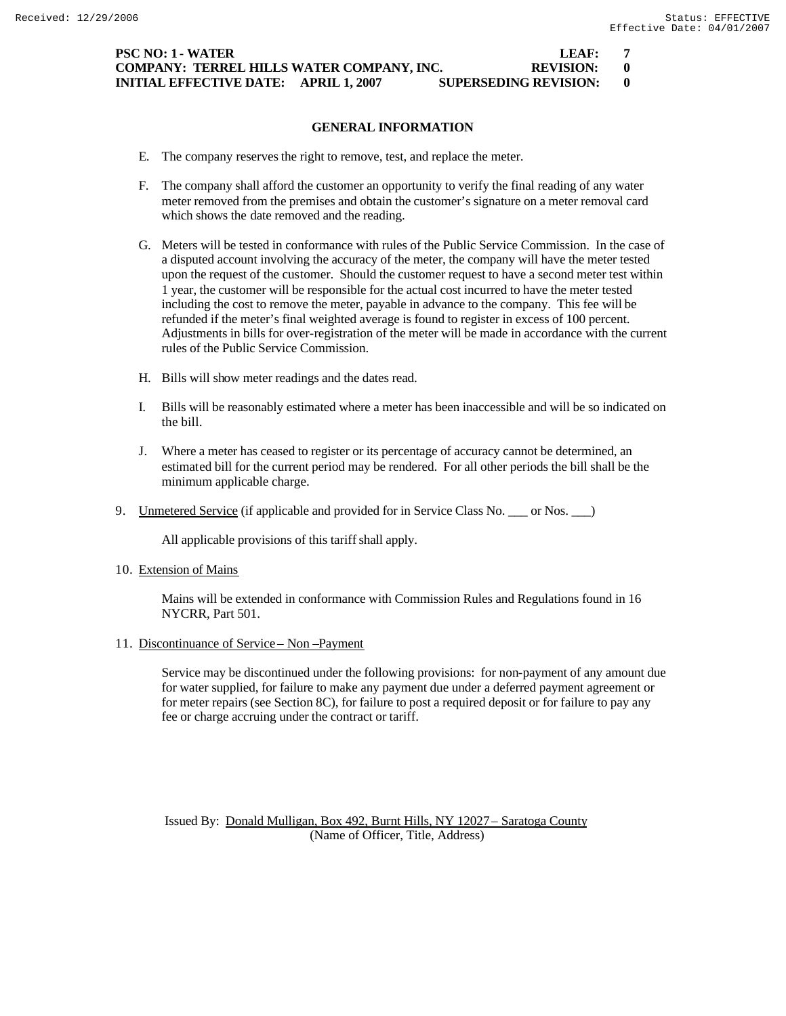**PSC NO: 1 - WATER LEAF: 7 COMPANY: TERREL HILLS WATER COMPANY, INC. REVISION: 0 INITIAL EFFECTIVE DATE: APRIL 1, 2007 SUPERSEDING REVISION: 0**

# **GENERAL INFORMATION**

- E. The company reserves the right to remove, test, and replace the meter.
- F. The company shall afford the customer an opportunity to verify the final reading of any water meter removed from the premises and obtain the customer's signature on a meter removal card which shows the date removed and the reading.
- G. Meters will be tested in conformance with rules of the Public Service Commission. In the case of a disputed account involving the accuracy of the meter, the company will have the meter tested upon the request of the customer. Should the customer request to have a second meter test within 1 year, the customer will be responsible for the actual cost incurred to have the meter tested including the cost to remove the meter, payable in advance to the company. This fee will be refunded if the meter's final weighted average is found to register in excess of 100 percent. Adjustments in bills for over-registration of the meter will be made in accordance with the current rules of the Public Service Commission.
- H. Bills will show meter readings and the dates read.
- I. Bills will be reasonably estimated where a meter has been inaccessible and will be so indicated on the bill.
- J. Where a meter has ceased to register or its percentage of accuracy cannot be determined, an estimated bill for the current period may be rendered. For all other periods the bill shall be the minimum applicable charge.
- 9. Unmetered Service (if applicable and provided for in Service Class No. \_\_\_ or Nos. \_\_\_)

All applicable provisions of this tariff shall apply.

10. Extension of Mains

Mains will be extended in conformance with Commission Rules and Regulations found in 16 NYCRR, Part 501.

11. Discontinuance of Service – Non –Payment

Service may be discontinued under the following provisions: for non-payment of any amount due for water supplied, for failure to make any payment due under a deferred payment agreement or for meter repairs (see Section 8C), for failure to post a required deposit or for failure to pay any fee or charge accruing under the contract or tariff.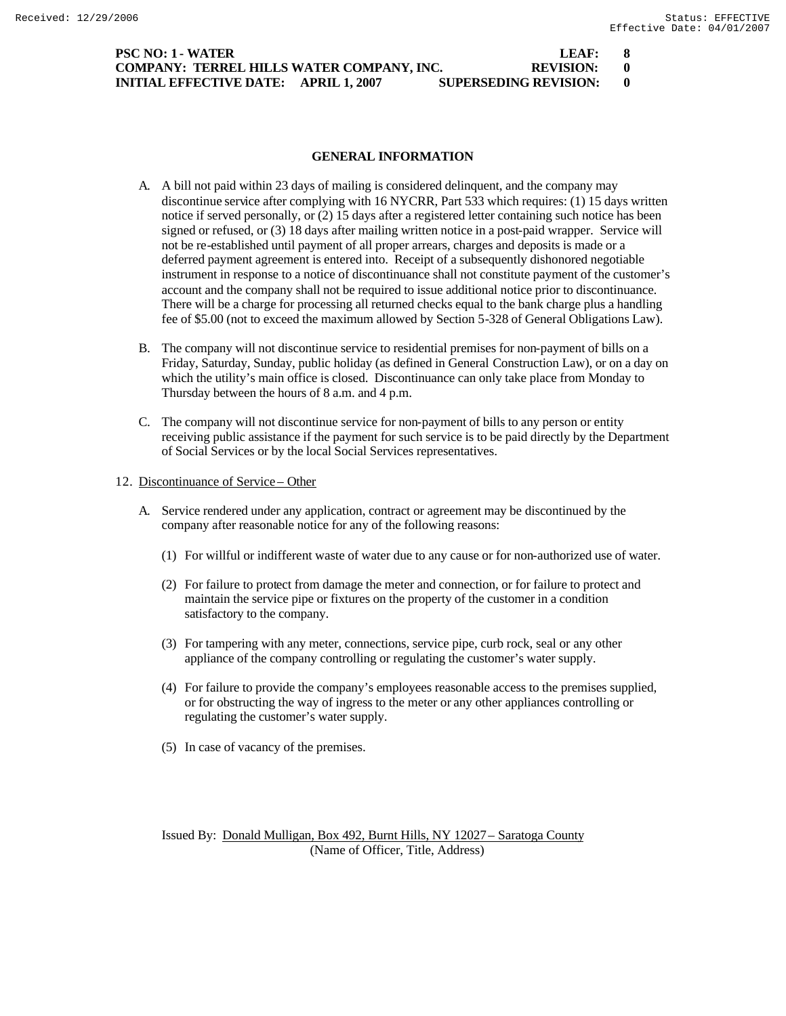| PSC NO: 1 - WATER                         |                              | LEAF:       |  |
|-------------------------------------------|------------------------------|-------------|--|
| COMPANY: TERREL HILLS WATER COMPANY, INC. |                              | REVISION: 0 |  |
| INITIAL EFFECTIVE DATE: APRIL 1. 2007     | <b>SUPERSEDING REVISION:</b> |             |  |

#### **GENERAL INFORMATION**

- A. A bill not paid within 23 days of mailing is considered delinquent, and the company may discontinue service after complying with 16 NYCRR, Part 533 which requires: (1) 15 days written notice if served personally, or (2) 15 days after a registered letter containing such notice has been signed or refused, or (3) 18 days after mailing written notice in a post-paid wrapper. Service will not be re-established until payment of all proper arrears, charges and deposits is made or a deferred payment agreement is entered into. Receipt of a subsequently dishonored negotiable instrument in response to a notice of discontinuance shall not constitute payment of the customer's account and the company shall not be required to issue additional notice prior to discontinuance. There will be a charge for processing all returned checks equal to the bank charge plus a handling fee of \$5.00 (not to exceed the maximum allowed by Section 5-328 of General Obligations Law).
- B. The company will not discontinue service to residential premises for non-payment of bills on a Friday, Saturday, Sunday, public holiday (as defined in General Construction Law), or on a day on which the utility's main office is closed. Discontinuance can only take place from Monday to Thursday between the hours of 8 a.m. and 4 p.m.
- C. The company will not discontinue service for non-payment of bills to any person or entity receiving public assistance if the payment for such service is to be paid directly by the Department of Social Services or by the local Social Services representatives.

#### 12. Discontinuance of Service – Other

- A. Service rendered under any application, contract or agreement may be discontinued by the company after reasonable notice for any of the following reasons:
	- (1) For willful or indifferent waste of water due to any cause or for non-authorized use of water.
	- (2) For failure to protect from damage the meter and connection, or for failure to protect and maintain the service pipe or fixtures on the property of the customer in a condition satisfactory to the company.
	- (3) For tampering with any meter, connections, service pipe, curb rock, seal or any other appliance of the company controlling or regulating the customer's water supply.
	- (4) For failure to provide the company's employees reasonable access to the premises supplied, or for obstructing the way of ingress to the meter or any other appliances controlling or regulating the customer's water supply.
	- (5) In case of vacancy of the premises.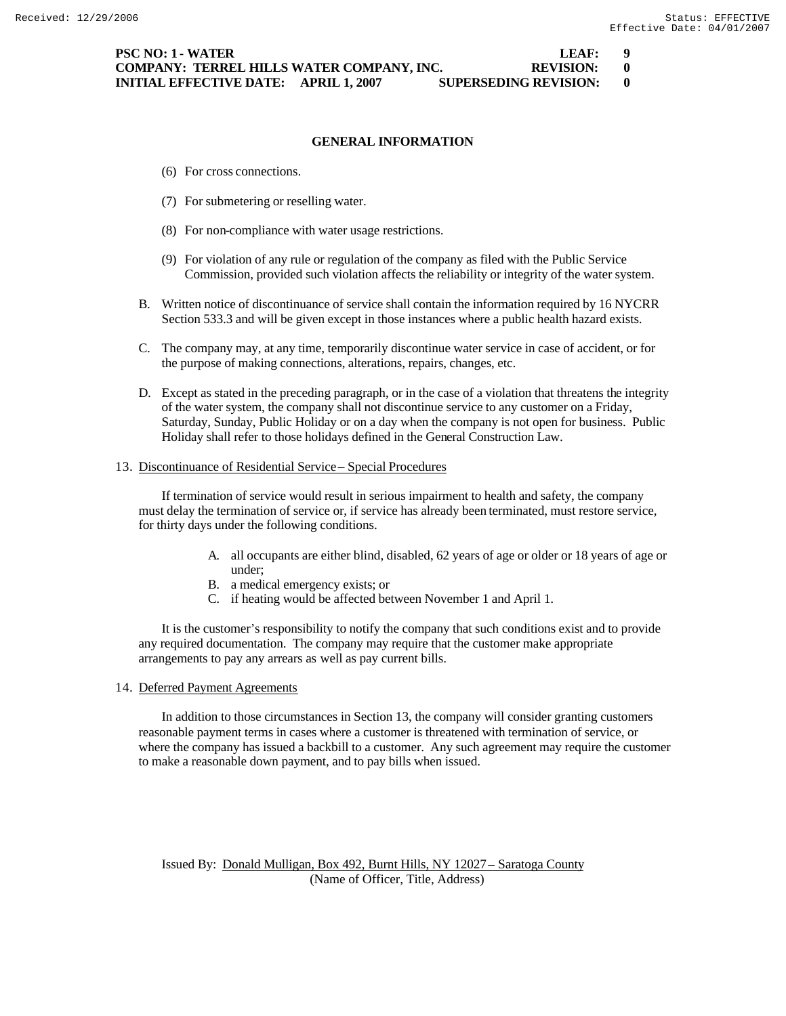### **GENERAL INFORMATION**

- (6) For cross connections.
- (7) For submetering or reselling water.
- (8) For non-compliance with water usage restrictions.
- (9) For violation of any rule or regulation of the company as filed with the Public Service Commission, provided such violation affects the reliability or integrity of the water system.
- B. Written notice of discontinuance of service shall contain the information required by 16 NYCRR Section 533.3 and will be given except in those instances where a public health hazard exists.
- C. The company may, at any time, temporarily discontinue water service in case of accident, or for the purpose of making connections, alterations, repairs, changes, etc.
- D. Except as stated in the preceding paragraph, or in the case of a violation that threatens the integrity of the water system, the company shall not discontinue service to any customer on a Friday, Saturday, Sunday, Public Holiday or on a day when the company is not open for business. Public Holiday shall refer to those holidays defined in the General Construction Law.

#### 13. Discontinuance of Residential Service – Special Procedures

If termination of service would result in serious impairment to health and safety, the company must delay the termination of service or, if service has already been terminated, must restore service, for thirty days under the following conditions.

- A. all occupants are either blind, disabled, 62 years of age or older or 18 years of age or under;
- B. a medical emergency exists; or
- C. if heating would be affected between November 1 and April 1.

It is the customer's responsibility to notify the company that such conditions exist and to provide any required documentation. The company may require that the customer make appropriate arrangements to pay any arrears as well as pay current bills.

#### 14. Deferred Payment Agreements

In addition to those circumstances in Section 13, the company will consider granting customers reasonable payment terms in cases where a customer is threatened with termination of service, or where the company has issued a backbill to a customer. Any such agreement may require the customer to make a reasonable down payment, and to pay bills when issued.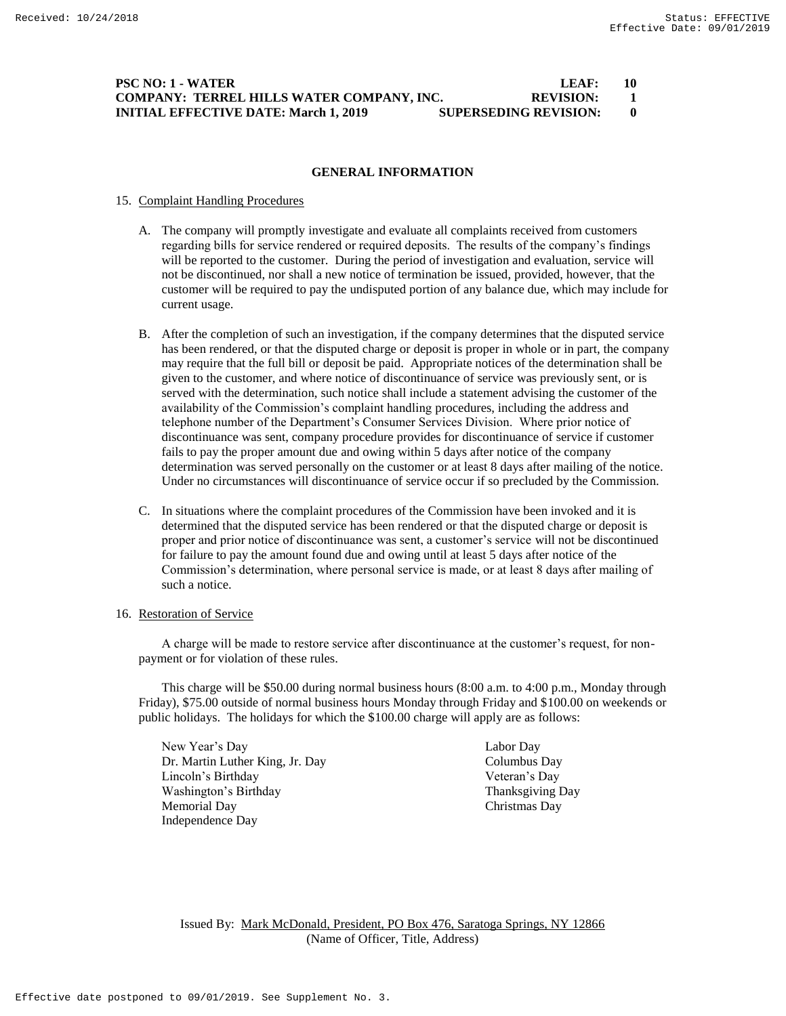# **PSC NO: 1 - WATER LEAF: 10 COMPANY: TERREL HILLS WATER COMPANY, INC. REVISION: 1 INITIAL EFFECTIVE DATE: March 1, 2019 SUPERSEDING REVISION: 0**

#### **GENERAL INFORMATION**

#### 15. Complaint Handling Procedures

- A. The company will promptly investigate and evaluate all complaints received from customers regarding bills for service rendered or required deposits. The results of the company's findings will be reported to the customer. During the period of investigation and evaluation, service will not be discontinued, nor shall a new notice of termination be issued, provided, however, that the customer will be required to pay the undisputed portion of any balance due, which may include for current usage.
- B. After the completion of such an investigation, if the company determines that the disputed service has been rendered, or that the disputed charge or deposit is proper in whole or in part, the company may require that the full bill or deposit be paid. Appropriate notices of the determination shall be given to the customer, and where notice of discontinuance of service was previously sent, or is served with the determination, such notice shall include a statement advising the customer of the availability of the Commission's complaint handling procedures, including the address and telephone number of the Department's Consumer Services Division. Where prior notice of discontinuance was sent, company procedure provides for discontinuance of service if customer fails to pay the proper amount due and owing within 5 days after notice of the company determination was served personally on the customer or at least 8 days after mailing of the notice. Under no circumstances will discontinuance of service occur if so precluded by the Commission.
- C. In situations where the complaint procedures of the Commission have been invoked and it is determined that the disputed service has been rendered or that the disputed charge or deposit is proper and prior notice of discontinuance was sent, a customer's service will not be discontinued for failure to pay the amount found due and owing until at least 5 days after notice of the Commission's determination, where personal service is made, or at least 8 days after mailing of such a notice.

# 16. Restoration of Service

A charge will be made to restore service after discontinuance at the customer's request, for nonpayment or for violation of these rules.

This charge will be \$50.00 during normal business hours (8:00 a.m. to 4:00 p.m., Monday through Friday), \$75.00 outside of normal business hours Monday through Friday and \$100.00 on weekends or public holidays. The holidays for which the \$100.00 charge will apply are as follows:

New Year's Day Labor Day Dr. Martin Luther King, Jr. Day Columbus Day Lincoln's Birthday Veteran's Day Washington's Birthday Thanksgiving Day Memorial Day Christmas Day Independence Day

Issued By: Mark McDonald, President, PO Box 476, Saratoga Springs, NY 12866 (Name of Officer, Title, Address)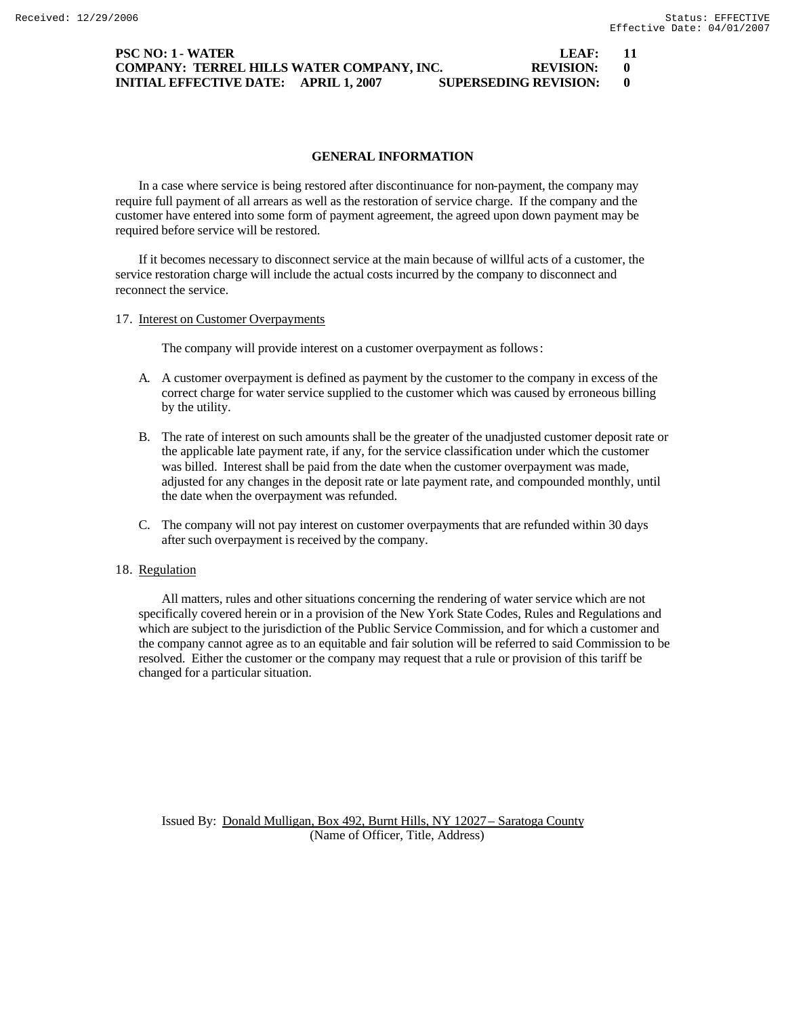### **PSC NO: 1 - WATER LEAF: 11 COMPANY: TERREL HILLS WATER COMPANY, INC. REVISION: 0 INITIAL EFFECTIVE DATE: APRIL 1, 2007 SUPERSEDING REVISION: 0**

### **GENERAL INFORMATION**

In a case where service is being restored after discontinuance for non-payment, the company may require full payment of all arrears as well as the restoration of service charge. If the company and the customer have entered into some form of payment agreement, the agreed upon down payment may be required before service will be restored.

If it becomes necessary to disconnect service at the main because of willful acts of a customer, the service restoration charge will include the actual costs incurred by the company to disconnect and reconnect the service.

17. Interest on Customer Overpayments

The company will provide interest on a customer overpayment as follows:

- A. A customer overpayment is defined as payment by the customer to the company in excess of the correct charge for water service supplied to the customer which was caused by erroneous billing by the utility.
- B. The rate of interest on such amounts shall be the greater of the unadjusted customer deposit rate or the applicable late payment rate, if any, for the service classification under which the customer was billed. Interest shall be paid from the date when the customer overpayment was made, adjusted for any changes in the deposit rate or late payment rate, and compounded monthly, until the date when the overpayment was refunded.
- C. The company will not pay interest on customer overpayments that are refunded within 30 days after such overpayment is received by the company.

# 18. Regulation

All matters, rules and other situations concerning the rendering of water service which are not specifically covered herein or in a provision of the New York State Codes, Rules and Regulations and which are subject to the jurisdiction of the Public Service Commission, and for which a customer and the company cannot agree as to an equitable and fair solution will be referred to said Commission to be resolved. Either the customer or the company may request that a rule or provision of this tariff be changed for a particular situation.